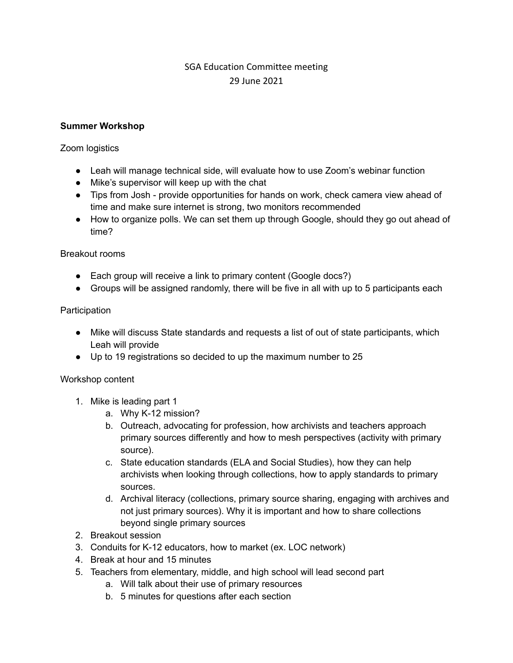# SGA Education Committee meeting 29 June 2021

## **Summer Workshop**

#### Zoom logistics

- Leah will manage technical side, will evaluate how to use Zoom's webinar function
- Mike's supervisor will keep up with the chat
- Tips from Josh provide opportunities for hands on work, check camera view ahead of time and make sure internet is strong, two monitors recommended
- How to organize polls. We can set them up through Google, should they go out ahead of time?

### Breakout rooms

- Each group will receive a link to primary content (Google docs?)
- Groups will be assigned randomly, there will be five in all with up to 5 participants each

### **Participation**

- Mike will discuss State standards and requests a list of out of state participants, which Leah will provide
- Up to 19 registrations so decided to up the maximum number to 25

#### Workshop content

- 1. Mike is leading part 1
	- a. Why K-12 mission?
	- b. Outreach, advocating for profession, how archivists and teachers approach primary sources differently and how to mesh perspectives (activity with primary source).
	- c. State education standards (ELA and Social Studies), how they can help archivists when looking through collections, how to apply standards to primary sources.
	- d. Archival literacy (collections, primary source sharing, engaging with archives and not just primary sources). Why it is important and how to share collections beyond single primary sources
- 2. Breakout session
- 3. Conduits for K-12 educators, how to market (ex. LOC network)
- 4. Break at hour and 15 minutes
- 5. Teachers from elementary, middle, and high school will lead second part
	- a. Will talk about their use of primary resources
	- b. 5 minutes for questions after each section